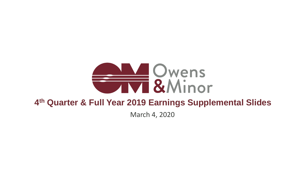# **AND Owens**<br> **EXAMINOR 4 th Quarter & Full Year 2019 Earnings Supplemental Slides** March 4, 2020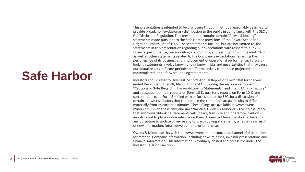This presentation is intended to be disclosure through methods reasonably designed to provide broad, non-exclusionary distribution to the public in compliance with the SEC's Fair Disclosure Regulation. This presentation contains certain ''forward-looking'' statements made pursuant to the Safe Harbor provisions of the Private Securities Litigation Reform Act of 1995. These statements include, but are not limited to, the statements in this presentation regarding our expectations with respect to our 2020 financial performance, our modeling assumptions, and earnings growth beyond 2020, as well as other statements related to the Company's expectations regarding the performance of its business and improvement of operational performance. Forwardlooking statements involve known and unknown risks and uncertainties that may cause our actual results in future periods to differ materially from those projected or contemplated in the forward-looking statements.

Investors should refer to Owens & Minor's Annual Report on Form 10-K for the year ended December 31, 2018, filed with the SEC including the sections captioned "Cautionary Note Regarding Forward-Looking Statements" and "Item 1A. Risk Factors," and subsequent annual reports on Form 10-K, quarterly reports on Form 10-Q and current reports on Form 8-K filed with or furnished to the SEC, for a discussion of certain known risk factors that could cause the company's actual results to differ materially from its current estimates. These filings are available at www.owensminor.com. Given these risks and uncertainties, Owens & Minor can give no assurance that any forward-looking statements will, in fact, transpire and, therefore, cautions investors not to place undue reliance on them. Owens & Minor specifically disclaims any obligation to update or revise any forward-looking statements, whether as a result of new information, future developments or otherwise.

Owens & Minor uses its web site, www.owens-minor.com, as a channel of distribution for material Company information, including news releases, investor presentations and financial information. This information is routinely posted and accessible under the Investor Relations section.



#### **Safe Harbor**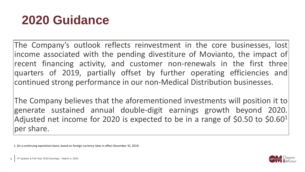### **2020 Guidance**

The Company's outlook reflects reinvestment in the core businesses, lost income associated with the pending divestiture of Movianto, the impact of recent financing activity, and customer non-renewals in the first three quarters of 2019, partially offset by further operating efficiencies and continued strong performance in our non-Medical Distribution businesses.

The Company believes that the aforementioned investments will position it to generate sustained annual double-digit earnings growth beyond 2020. Adjusted net income for 2020 is expected to be in a range of \$0.50 to \$0.60<sup>1</sup> per share.

1. On a continuing operations basis; based on foreign currency rates in effect December 31, 2019.



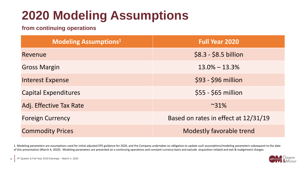## **2020 Modeling Assumptions**

**from continuing operations**

| <b>Modeling Assumptions1</b> | <b>Full Year 2020</b>                |
|------------------------------|--------------------------------------|
| Revenue                      | $$8.3 - $8.5$ billion                |
| <b>Gross Margin</b>          | $13.0\% - 13.3\%$                    |
| <b>Interest Expense</b>      | \$93 - \$96 million                  |
| <b>Capital Expenditures</b>  | $$55 - $65$ million                  |
| Adj. Effective Tax Rate      | $~81\%$                              |
| <b>Foreign Currency</b>      | Based on rates in effect at 12/31/19 |
| <b>Commodity Prices</b>      | <b>Modestly favorable trend</b>      |
|                              |                                      |



1. Modeling parameters are assumptions used for initial adjusted EPS guidance for 2020, and the Company undertakes no obligation to update such assumptions/modeling parameters subsequent to the date of this presentation (March 4, 2020). Modeling parameters are presented on a continuing operations and constant currency basis and exclude acquisition-related and exit & realignment charges.

4 | 4<sup>th</sup> Quarter & Full Year 2019 Earnings – March 4, 2020